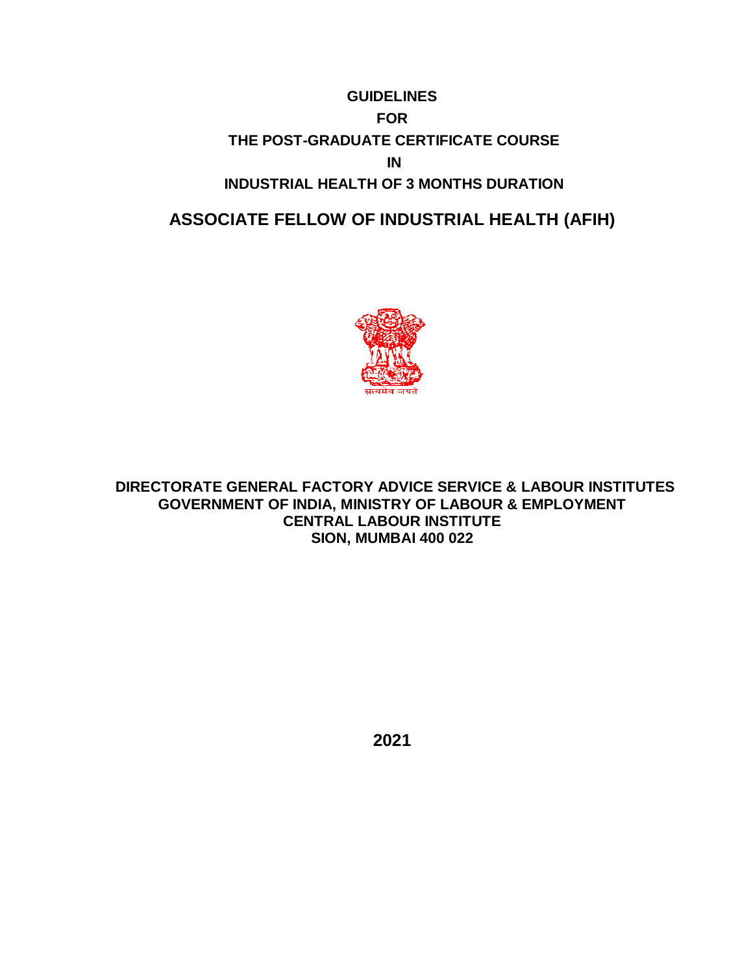# **GUIDELINES FOR THE POST-GRADUATE CERTIFICATE COURSE IN INDUSTRIAL HEALTH OF 3 MONTHS DURATION**

# **ASSOCIATE FELLOW OF INDUSTRIAL HEALTH (AFIH)**



**DIRECTORATE GENERAL FACTORY ADVICE SERVICE & LABOUR INSTITUTES GOVERNMENT OF INDIA, MINISTRY OF LABOUR & EMPLOYMENT CENTRAL LABOUR INSTITUTE SION, MUMBAI 400 022**

**2021**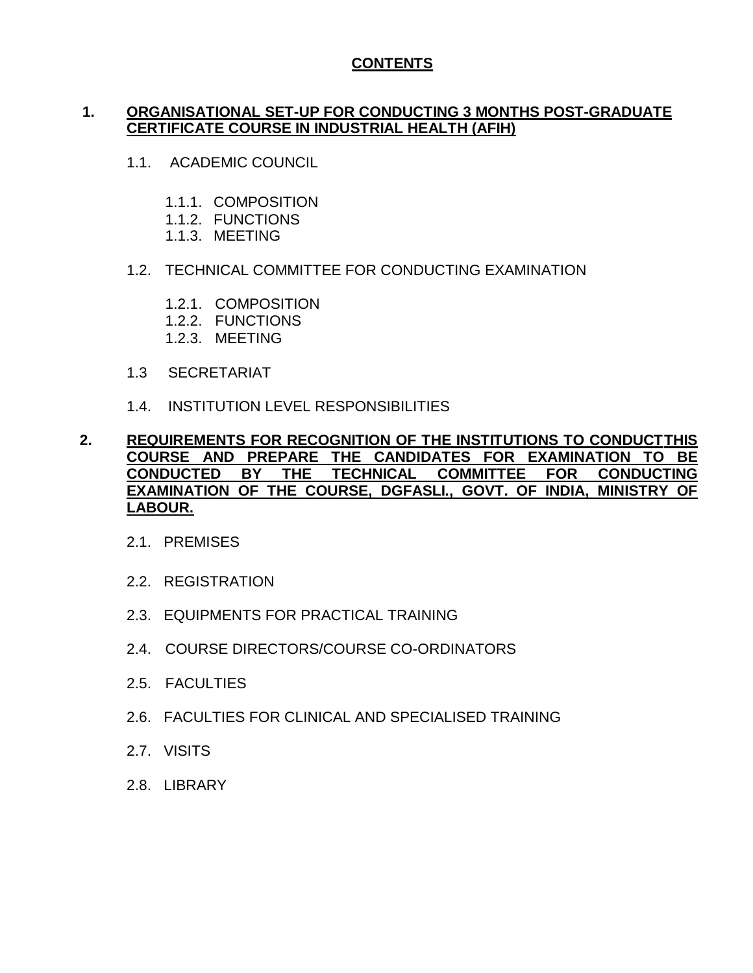# **CONTENTS**

# **1. ORGANISATIONAL SET-UP FOR CONDUCTING 3 MONTHS POST-GRADUATE CERTIFICATE COURSE IN INDUSTRIAL HEALTH (AFIH)**

- 1.1. ACADEMIC COUNCIL
	- 1.1.1. COMPOSITION
	- 1.1.2. FUNCTIONS
	- 1.1.3. MEETING

# 1.2. TECHNICAL COMMITTEE FOR CONDUCTING EXAMINATION

- 1.2.1. COMPOSITION
- 1.2.2. FUNCTIONS
- 1.2.3. MEETING
- 1.3 SECRETARIAT
- 1.4. INSTITUTION LEVEL RESPONSIBILITIES

## **2. REQUIREMENTS FOR RECOGNITION OF THE INSTITUTIONS TO CONDUCTTHIS COURSE AND PREPARE THE CANDIDATES FOR EXAMINATION TO BE CONDUCTED BY THE TECHNICAL COMMITTEE FOR CONDUCTING EXAMINATION OF THE COURSE, DGFASLI., GOVT. OF INDIA, MINISTRY OF LABOUR.**

- 2.1. PREMISES
- 2.2. REGISTRATION
- 2.3. EQUIPMENTS FOR PRACTICAL TRAINING
- 2.4. COURSE DIRECTORS/COURSE CO-ORDINATORS
- 2.5. FACULTIES
- 2.6. FACULTIES FOR CLINICAL AND SPECIALISED TRAINING
- 2.7. VISITS
- 2.8. LIBRARY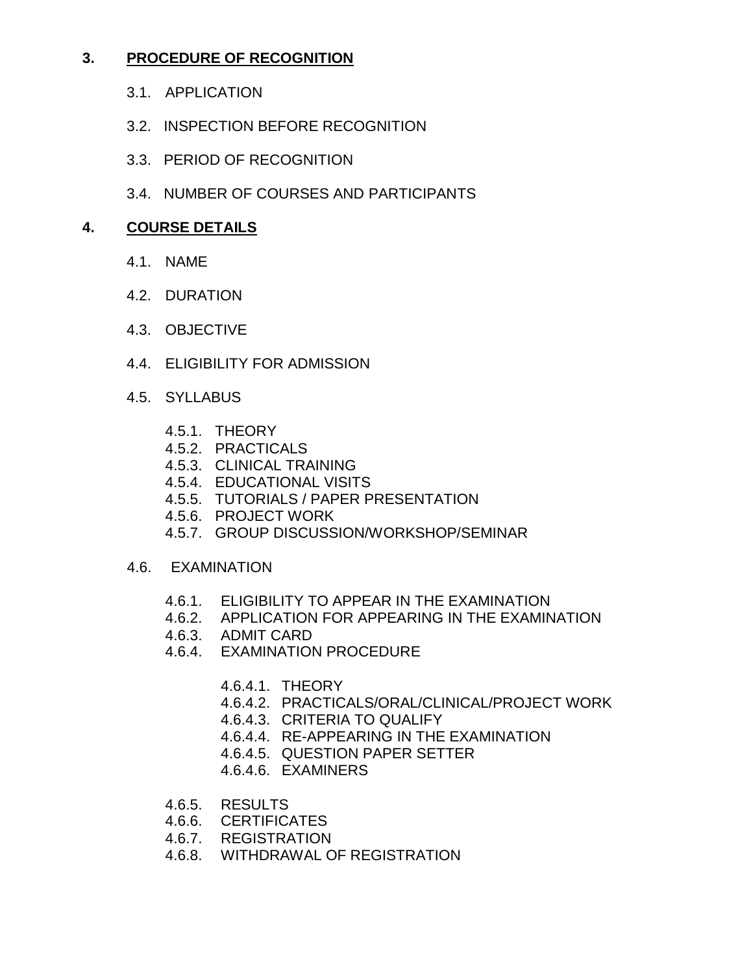# **3. PROCEDURE OF RECOGNITION**

- 3.1. APPLICATION
- 3.2. INSPECTION BEFORE RECOGNITION
- 3.3. PERIOD OF RECOGNITION
- 3.4. NUMBER OF COURSES AND PARTICIPANTS

# **4. COURSE DETAILS**

- 4.1. NAME
- 4.2. DURATION
- 4.3. OBJECTIVE
- 4.4. ELIGIBILITY FOR ADMISSION
- 4.5. SYLLABUS
	- 4.5.1. THEORY
	- 4.5.2. PRACTICALS
	- 4.5.3. CLINICAL TRAINING
	- 4.5.4. EDUCATIONAL VISITS
	- 4.5.5. TUTORIALS / PAPER PRESENTATION
	- 4.5.6. PROJECT WORK
	- 4.5.7. GROUP DISCUSSION/WORKSHOP/SEMINAR
- 4.6. EXAMINATION
	- 4.6.1. ELIGIBILITY TO APPEAR IN THE EXAMINATION
	- 4.6.2. APPLICATION FOR APPEARING IN THE EXAMINATION
	- 4.6.3. ADMIT CARD
	- 4.6.4. EXAMINATION PROCEDURE
		- 4.6.4.1. THEORY
		- 4.6.4.2. PRACTICALS/ORAL/CLINICAL/PROJECT WORK
		- 4.6.4.3. CRITERIA TO QUALIFY
		- 4.6.4.4. RE-APPEARING IN THE EXAMINATION
		- 4.6.4.5. QUESTION PAPER SETTER
		- 4.6.4.6. EXAMINERS
	- 4.6.5. RESULTS
	- 4.6.6. CERTIFICATES
	- 4.6.7. REGISTRATION
	- 4.6.8. WITHDRAWAL OF REGISTRATION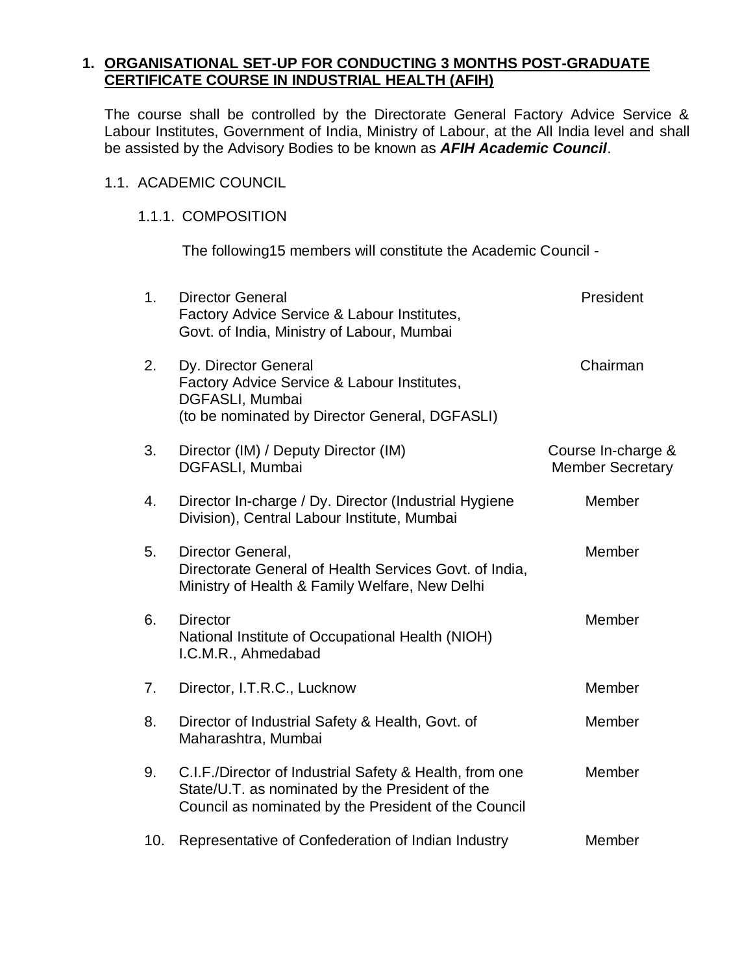# **1. ORGANISATIONAL SET-UP FOR CONDUCTING 3 MONTHS POST-GRADUATE CERTIFICATE COURSE IN INDUSTRIAL HEALTH (AFIH)**

The course shall be controlled by the Directorate General Factory Advice Service & Labour Institutes, Government of India, Ministry of Labour, at the All India level and shall be assisted by the Advisory Bodies to be known as *AFIH Academic Council*.

# 1.1. ACADEMIC COUNCIL

# 1.1.1. COMPOSITION

The following15 members will constitute the Academic Council -

| 1 <sub>1</sub> | <b>Director General</b><br>Factory Advice Service & Labour Institutes,<br>Govt. of India, Ministry of Labour, Mumbai                                               | President                                     |
|----------------|--------------------------------------------------------------------------------------------------------------------------------------------------------------------|-----------------------------------------------|
| 2.             | Dy. Director General<br>Factory Advice Service & Labour Institutes,<br>DGFASLI, Mumbai<br>(to be nominated by Director General, DGFASLI)                           | Chairman                                      |
| 3.             | Director (IM) / Deputy Director (IM)<br>DGFASLI, Mumbai                                                                                                            | Course In-charge &<br><b>Member Secretary</b> |
| 4.             | Director In-charge / Dy. Director (Industrial Hygiene<br>Division), Central Labour Institute, Mumbai                                                               | Member                                        |
| 5.             | Director General,<br>Directorate General of Health Services Govt. of India,<br>Ministry of Health & Family Welfare, New Delhi                                      | Member                                        |
| 6.             | <b>Director</b><br>National Institute of Occupational Health (NIOH)<br>I.C.M.R., Ahmedabad                                                                         | Member                                        |
| 7.             | Director, I.T.R.C., Lucknow                                                                                                                                        | Member                                        |
| 8.             | Director of Industrial Safety & Health, Govt. of<br>Maharashtra, Mumbai                                                                                            | Member                                        |
| 9.             | C.I.F./Director of Industrial Safety & Health, from one<br>State/U.T. as nominated by the President of the<br>Council as nominated by the President of the Council | Member                                        |
| 10.            | Representative of Confederation of Indian Industry                                                                                                                 | Member                                        |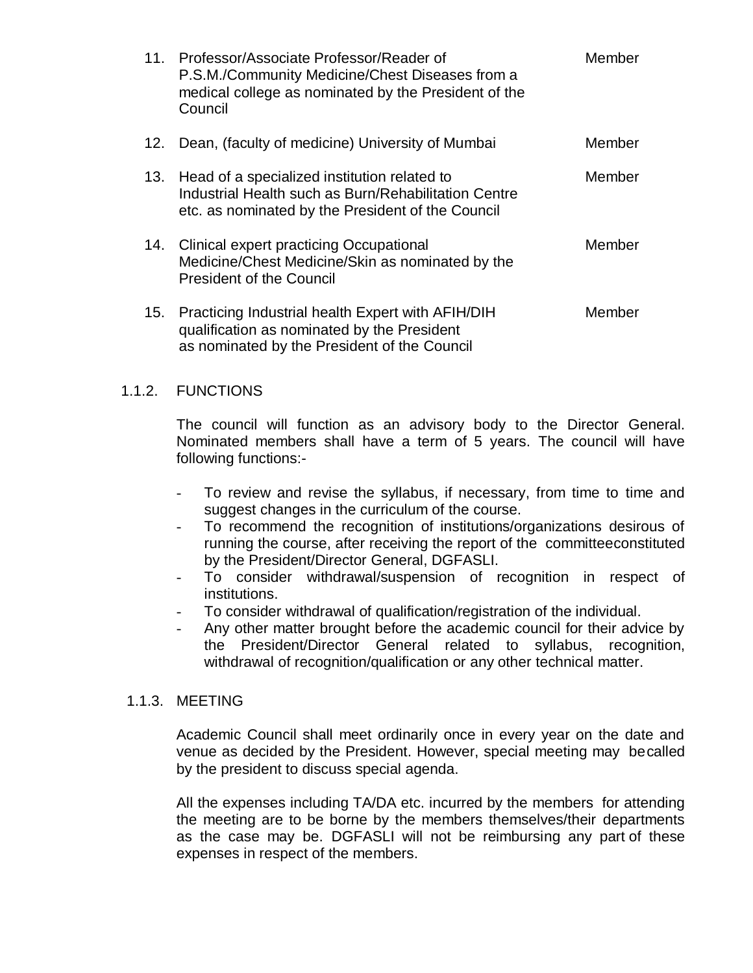|     | 11. Professor/Associate Professor/Reader of<br>P.S.M./Community Medicine/Chest Diseases from a<br>medical college as nominated by the President of the<br>Council | <b>Member</b> |
|-----|-------------------------------------------------------------------------------------------------------------------------------------------------------------------|---------------|
| 12. | Dean, (faculty of medicine) University of Mumbai                                                                                                                  | Member        |
| 13. | Head of a specialized institution related to<br>Industrial Health such as Burn/Rehabilitation Centre<br>etc. as nominated by the President of the Council         | Member        |
| 14. | <b>Clinical expert practicing Occupational</b><br>Medicine/Chest Medicine/Skin as nominated by the<br><b>President of the Council</b>                             | Member        |
| 15. | Practicing Industrial health Expert with AFIH/DIH<br>qualification as nominated by the President<br>as nominated by the President of the Council                  | Member        |

# 1.1.2. FUNCTIONS

The council will function as an advisory body to the Director General. Nominated members shall have a term of 5 years. The council will have following functions:-

- To review and revise the syllabus, if necessary, from time to time and suggest changes in the curriculum of the course.
- To recommend the recognition of institutions/organizations desirous of running the course, after receiving the report of the committeeconstituted by the President/Director General, DGFASLI.
- To consider withdrawal/suspension of recognition in respect of institutions.
- To consider withdrawal of qualification/registration of the individual.
- Any other matter brought before the academic council for their advice by the President/Director General related to syllabus, recognition, withdrawal of recognition/qualification or any other technical matter.

#### 1.1.3. MEETING

Academic Council shall meet ordinarily once in every year on the date and venue as decided by the President. However, special meeting may becalled by the president to discuss special agenda.

All the expenses including TA/DA etc. incurred by the members for attending the meeting are to be borne by the members themselves/their departments as the case may be. DGFASLI will not be reimbursing any part of these expenses in respect of the members.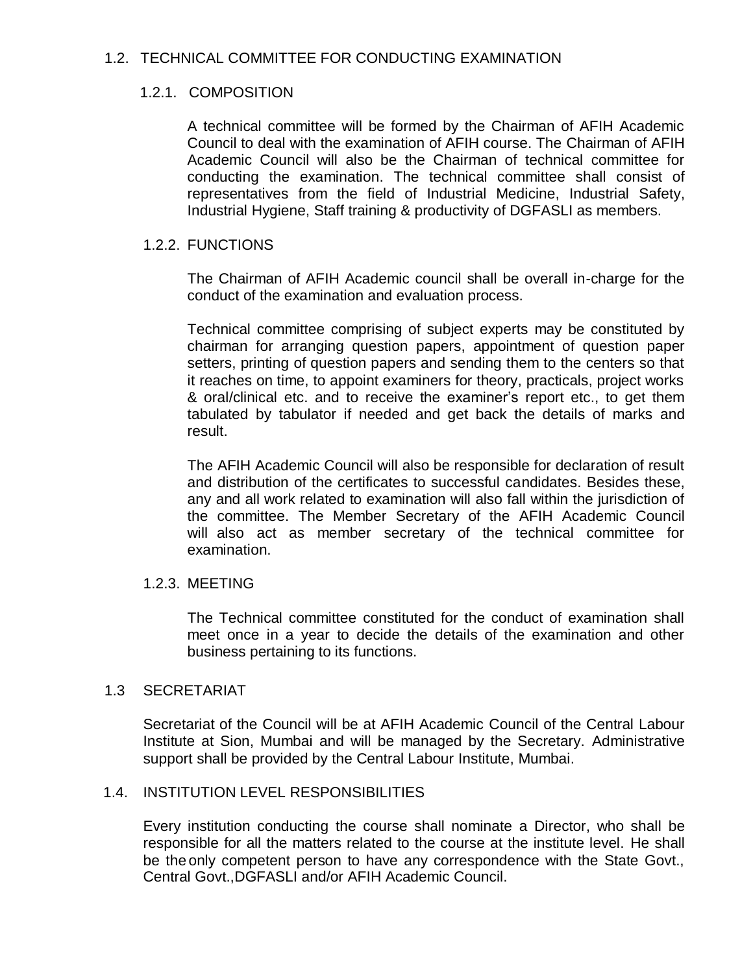# 1.2. TECHNICAL COMMITTEE FOR CONDUCTING EXAMINATION

# 1.2.1. COMPOSITION

A technical committee will be formed by the Chairman of AFIH Academic Council to deal with the examination of AFIH course. The Chairman of AFIH Academic Council will also be the Chairman of technical committee for conducting the examination. The technical committee shall consist of representatives from the field of Industrial Medicine, Industrial Safety, Industrial Hygiene, Staff training & productivity of DGFASLI as members.

# 1.2.2. FUNCTIONS

The Chairman of AFIH Academic council shall be overall in-charge for the conduct of the examination and evaluation process.

Technical committee comprising of subject experts may be constituted by chairman for arranging question papers, appointment of question paper setters, printing of question papers and sending them to the centers so that it reaches on time, to appoint examiners for theory, practicals, project works & oral/clinical etc. and to receive the examiner's report etc., to get them tabulated by tabulator if needed and get back the details of marks and result.

The AFIH Academic Council will also be responsible for declaration of result and distribution of the certificates to successful candidates. Besides these, any and all work related to examination will also fall within the jurisdiction of the committee. The Member Secretary of the AFIH Academic Council will also act as member secretary of the technical committee for examination.

## 1.2.3. MEETING

The Technical committee constituted for the conduct of examination shall meet once in a year to decide the details of the examination and other business pertaining to its functions.

## 1.3 SECRETARIAT

Secretariat of the Council will be at AFIH Academic Council of the Central Labour Institute at Sion, Mumbai and will be managed by the Secretary. Administrative support shall be provided by the Central Labour Institute, Mumbai.

# 1.4. INSTITUTION LEVEL RESPONSIBILITIES

Every institution conducting the course shall nominate a Director, who shall be responsible for all the matters related to the course at the institute level. He shall be the only competent person to have any correspondence with the State Govt., Central Govt.,DGFASLI and/or AFIH Academic Council.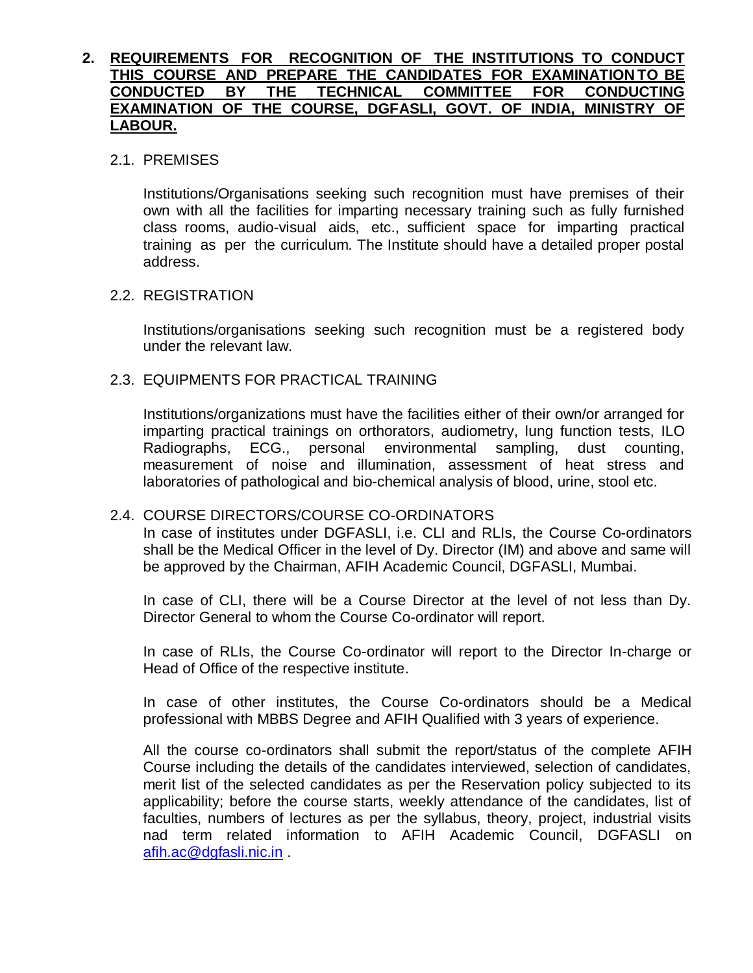# **2. REQUIREMENTS FOR RECOGNITION OF THE INSTITUTIONS TO CONDUCT THIS COURSE AND PREPARE THE CANDIDATES FOR EXAMINATION TO BE CONDUCTED BY THE TECHNICAL COMMITTEE FOR CONDUCTING EXAMINATION OF THE COURSE, DGFASLI, GOVT. OF INDIA, MINISTRY OF LABOUR.**

## 2.1. PREMISES

Institutions/Organisations seeking such recognition must have premises of their own with all the facilities for imparting necessary training such as fully furnished class rooms, audio-visual aids, etc., sufficient space for imparting practical training as per the curriculum. The Institute should have a detailed proper postal address.

## 2.2. REGISTRATION

Institutions/organisations seeking such recognition must be a registered body under the relevant law.

## 2.3. EQUIPMENTS FOR PRACTICAL TRAINING

Institutions/organizations must have the facilities either of their own/or arranged for imparting practical trainings on orthorators, audiometry, lung function tests, ILO Radiographs, ECG., personal environmental sampling, dust counting, measurement of noise and illumination, assessment of heat stress and laboratories of pathological and bio-chemical analysis of blood, urine, stool etc.

# 2.4. COURSE DIRECTORS/COURSE CO-ORDINATORS

In case of institutes under DGFASLI, i.e. CLI and RLIs, the Course Co-ordinators shall be the Medical Officer in the level of Dy. Director (IM) and above and same will be approved by the Chairman, AFIH Academic Council, DGFASLI, Mumbai.

In case of CLI, there will be a Course Director at the level of not less than Dy. Director General to whom the Course Co-ordinator will report.

In case of RLIs, the Course Co-ordinator will report to the Director In-charge or Head of Office of the respective institute.

In case of other institutes, the Course Co-ordinators should be a Medical professional with MBBS Degree and AFIH Qualified with 3 years of experience.

All the course co-ordinators shall submit the report/status of the complete AFIH Course including the details of the candidates interviewed, selection of candidates, merit list of the selected candidates as per the Reservation policy subjected to its applicability; before the course starts, weekly attendance of the candidates, list of faculties, numbers of lectures as per the syllabus, theory, project, industrial visits nad term related information to AFIH Academic Council, DGFASLI on [afih.ac@dgfasli.nic.in](mailto:afih.ac@dgfasli.nic.in) .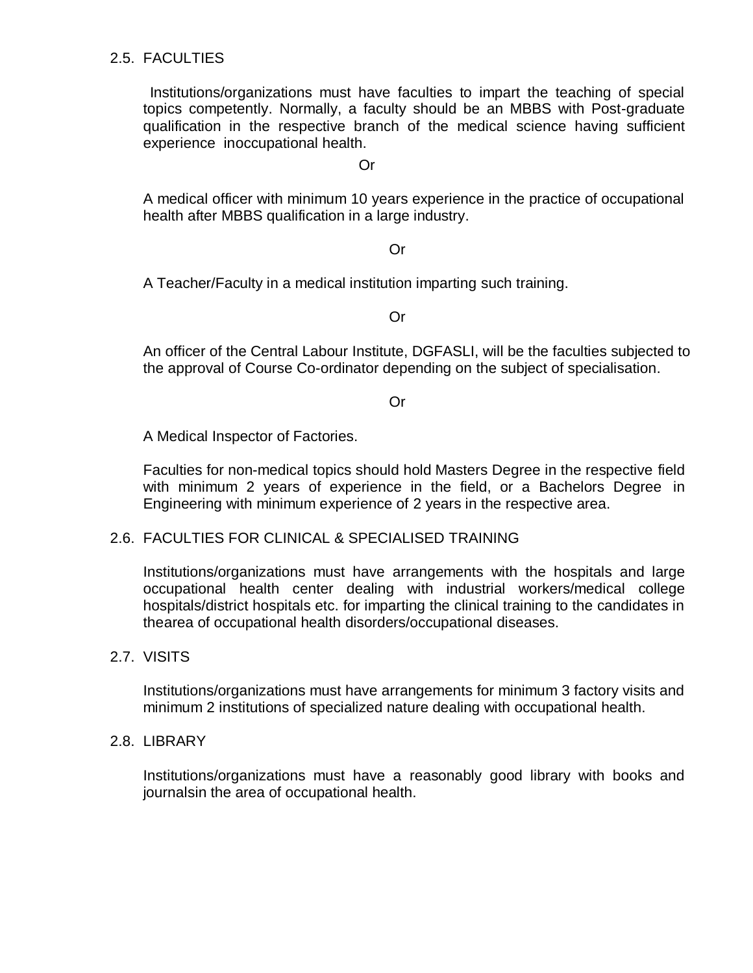# 2.5. FACULTIES

 Institutions/organizations must have faculties to impart the teaching of special topics competently. Normally, a faculty should be an MBBS with Post-graduate qualification in the respective branch of the medical science having sufficient experience inoccupational health.

Or

A medical officer with minimum 10 years experience in the practice of occupational health after MBBS qualification in a large industry.

#### Or

A Teacher/Faculty in a medical institution imparting such training.

#### Or

An officer of the Central Labour Institute, DGFASLI, will be the faculties subjected to the approval of Course Co-ordinator depending on the subject of specialisation.

Or

A Medical Inspector of Factories.

Faculties for non-medical topics should hold Masters Degree in the respective field with minimum 2 years of experience in the field, or a Bachelors Degree in Engineering with minimum experience of 2 years in the respective area.

#### 2.6. FACULTIES FOR CLINICAL & SPECIALISED TRAINING

Institutions/organizations must have arrangements with the hospitals and large occupational health center dealing with industrial workers/medical college hospitals/district hospitals etc. for imparting the clinical training to the candidates in thearea of occupational health disorders/occupational diseases.

#### 2.7. VISITS

Institutions/organizations must have arrangements for minimum 3 factory visits and minimum 2 institutions of specialized nature dealing with occupational health.

#### 2.8. LIBRARY

Institutions/organizations must have a reasonably good library with books and journalsin the area of occupational health.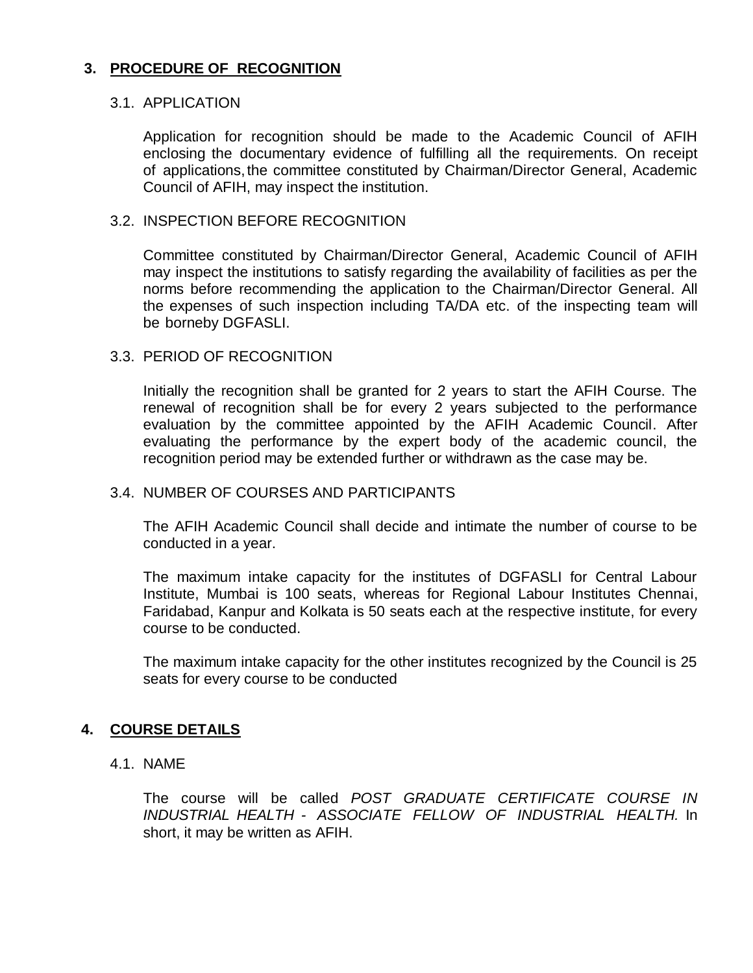# **3. PROCEDURE OF RECOGNITION**

#### 3.1. APPLICATION

Application for recognition should be made to the Academic Council of AFIH enclosing the documentary evidence of fulfilling all the requirements. On receipt of applications,the committee constituted by Chairman/Director General, Academic Council of AFIH, may inspect the institution.

#### 3.2. INSPECTION BEFORE RECOGNITION

Committee constituted by Chairman/Director General, Academic Council of AFIH may inspect the institutions to satisfy regarding the availability of facilities as per the norms before recommending the application to the Chairman/Director General. All the expenses of such inspection including TA/DA etc. of the inspecting team will be borneby DGFASLI.

#### 3.3. PERIOD OF RECOGNITION

Initially the recognition shall be granted for 2 years to start the AFIH Course. The renewal of recognition shall be for every 2 years subjected to the performance evaluation by the committee appointed by the AFIH Academic Council. After evaluating the performance by the expert body of the academic council, the recognition period may be extended further or withdrawn as the case may be.

#### 3.4. NUMBER OF COURSES AND PARTICIPANTS

The AFIH Academic Council shall decide and intimate the number of course to be conducted in a year.

The maximum intake capacity for the institutes of DGFASLI for Central Labour Institute, Mumbai is 100 seats, whereas for Regional Labour Institutes Chennai, Faridabad, Kanpur and Kolkata is 50 seats each at the respective institute, for every course to be conducted.

The maximum intake capacity for the other institutes recognized by the Council is 25 seats for every course to be conducted

#### **4. COURSE DETAILS**

4.1. NAME

The course will be called *POST GRADUATE CERTIFICATE COURSE IN INDUSTRIAL HEALTH - ASSOCIATE FELLOW OF INDUSTRIAL HEALTH.* In short, it may be written as AFIH.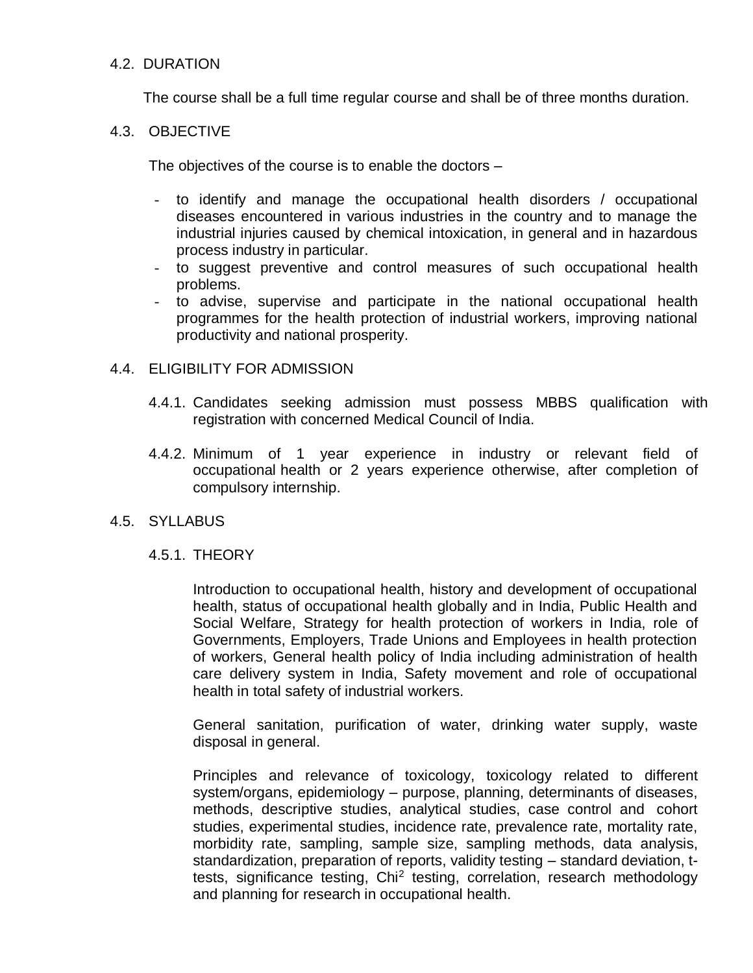# 4.2. DURATION

The course shall be a full time regular course and shall be of three months duration.

## 4.3. OBJECTIVE

The objectives of the course is to enable the doctors –

- to identify and manage the occupational health disorders / occupational diseases encountered in various industries in the country and to manage the industrial injuries caused by chemical intoxication, in general and in hazardous process industry in particular.
- to suggest preventive and control measures of such occupational health problems.
- to advise, supervise and participate in the national occupational health programmes for the health protection of industrial workers, improving national productivity and national prosperity.

#### 4.4. ELIGIBILITY FOR ADMISSION

- 4.4.1. Candidates seeking admission must possess MBBS qualification with registration with concerned Medical Council of India.
- 4.4.2. Minimum of 1 year experience in industry or relevant field of occupational health or 2 years experience otherwise, after completion of compulsory internship.

#### 4.5. SYLLABUS

#### 4.5.1. THEORY

Introduction to occupational health, history and development of occupational health, status of occupational health globally and in India, Public Health and Social Welfare, Strategy for health protection of workers in India, role of Governments, Employers, Trade Unions and Employees in health protection of workers, General health policy of India including administration of health care delivery system in India, Safety movement and role of occupational health in total safety of industrial workers.

General sanitation, purification of water, drinking water supply, waste disposal in general.

Principles and relevance of toxicology, toxicology related to different system/organs, epidemiology – purpose, planning, determinants of diseases, methods, descriptive studies, analytical studies, case control and cohort studies, experimental studies, incidence rate, prevalence rate, mortality rate, morbidity rate, sampling, sample size, sampling methods, data analysis, standardization, preparation of reports, validity testing – standard deviation, ttests, significance testing, Chi<sup>2</sup> testing, correlation, research methodology and planning for research in occupational health.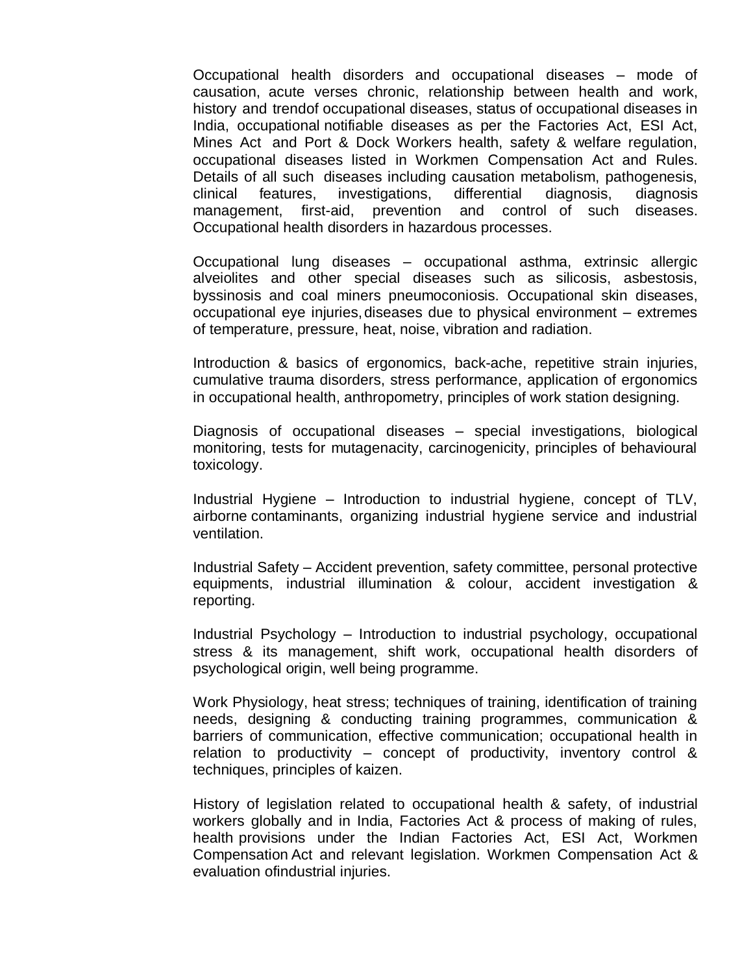Occupational health disorders and occupational diseases – mode of causation, acute verses chronic, relationship between health and work, history and trendof occupational diseases, status of occupational diseases in India, occupational notifiable diseases as per the Factories Act, ESI Act, Mines Act and Port & Dock Workers health, safety & welfare regulation, occupational diseases listed in Workmen Compensation Act and Rules. Details of all such diseases including causation metabolism, pathogenesis, clinical features, investigations, differential diagnosis, diagnosis management, first-aid, prevention and control of such diseases. Occupational health disorders in hazardous processes.

Occupational lung diseases – occupational asthma, extrinsic allergic alveiolites and other special diseases such as silicosis, asbestosis, byssinosis and coal miners pneumoconiosis. Occupational skin diseases, occupational eye injuries,diseases due to physical environment – extremes of temperature, pressure, heat, noise, vibration and radiation.

Introduction & basics of ergonomics, back-ache, repetitive strain injuries, cumulative trauma disorders, stress performance, application of ergonomics in occupational health, anthropometry, principles of work station designing.

Diagnosis of occupational diseases – special investigations, biological monitoring, tests for mutagenacity, carcinogenicity, principles of behavioural toxicology.

Industrial Hygiene – Introduction to industrial hygiene, concept of TLV, airborne contaminants, organizing industrial hygiene service and industrial ventilation.

Industrial Safety – Accident prevention, safety committee, personal protective equipments, industrial illumination & colour, accident investigation & reporting.

Industrial Psychology – Introduction to industrial psychology, occupational stress & its management, shift work, occupational health disorders of psychological origin, well being programme.

Work Physiology, heat stress; techniques of training, identification of training needs, designing & conducting training programmes, communication & barriers of communication, effective communication; occupational health in relation to productivity – concept of productivity, inventory control & techniques, principles of kaizen.

History of legislation related to occupational health & safety, of industrial workers globally and in India, Factories Act & process of making of rules, health provisions under the Indian Factories Act, ESI Act, Workmen Compensation Act and relevant legislation. Workmen Compensation Act & evaluation ofindustrial injuries.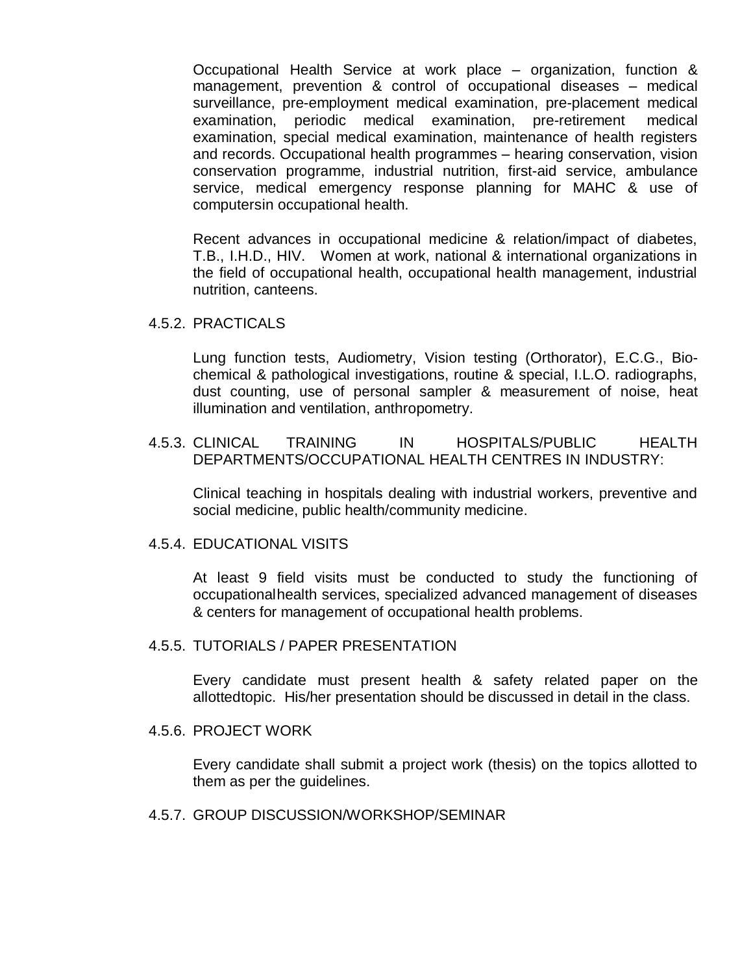Occupational Health Service at work place – organization, function & management, prevention & control of occupational diseases – medical surveillance, pre-employment medical examination, pre-placement medical examination, periodic medical examination, pre-retirement medical examination, special medical examination, maintenance of health registers and records. Occupational health programmes – hearing conservation, vision conservation programme, industrial nutrition, first-aid service, ambulance service, medical emergency response planning for MAHC & use of computersin occupational health.

Recent advances in occupational medicine & relation/impact of diabetes, T.B., I.H.D., HIV. Women at work, national & international organizations in the field of occupational health, occupational health management, industrial nutrition, canteens.

4.5.2. PRACTICALS

Lung function tests, Audiometry, Vision testing (Orthorator), E.C.G., Biochemical & pathological investigations, routine & special, I.L.O. radiographs, dust counting, use of personal sampler & measurement of noise, heat illumination and ventilation, anthropometry.

4.5.3. CLINICAL TRAINING IN HOSPITALS/PUBLIC HEALTH DEPARTMENTS/OCCUPATIONAL HEALTH CENTRES IN INDUSTRY:

Clinical teaching in hospitals dealing with industrial workers, preventive and social medicine, public health/community medicine.

#### 4.5.4. EDUCATIONAL VISITS

At least 9 field visits must be conducted to study the functioning of occupationalhealth services, specialized advanced management of diseases & centers for management of occupational health problems.

#### 4.5.5. TUTORIALS / PAPER PRESENTATION

Every candidate must present health & safety related paper on the allottedtopic. His/her presentation should be discussed in detail in the class.

#### 4.5.6. PROJECT WORK

Every candidate shall submit a project work (thesis) on the topics allotted to them as per the guidelines.

4.5.7. GROUP DISCUSSION/WORKSHOP/SEMINAR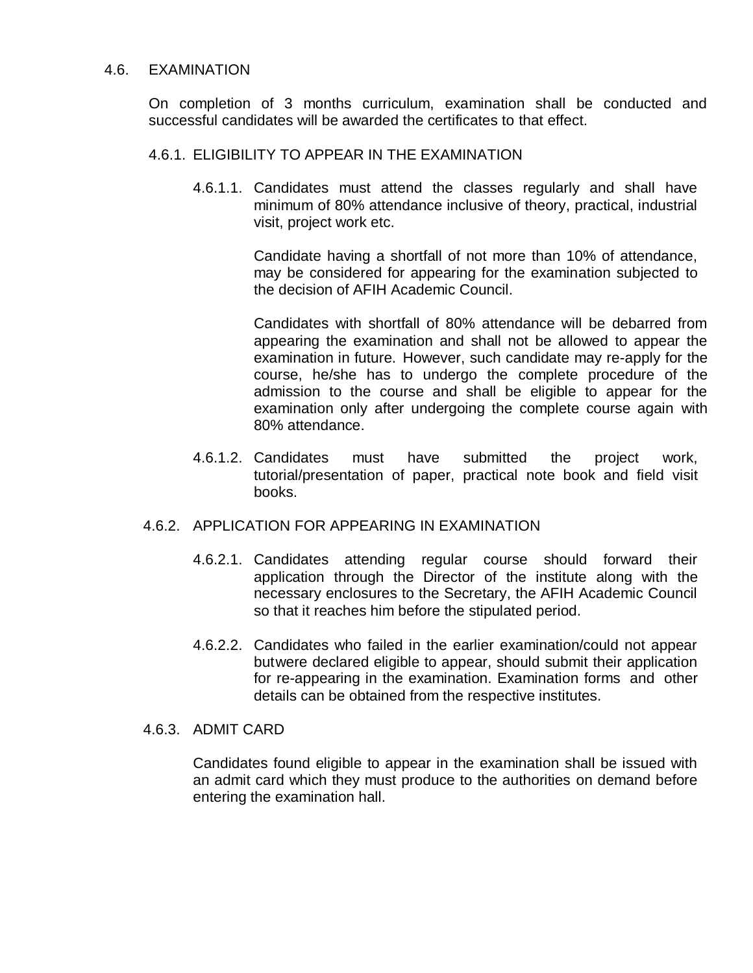### 4.6. EXAMINATION

On completion of 3 months curriculum, examination shall be conducted and successful candidates will be awarded the certificates to that effect.

## 4.6.1. ELIGIBILITY TO APPEAR IN THE EXAMINATION

4.6.1.1. Candidates must attend the classes regularly and shall have minimum of 80% attendance inclusive of theory, practical, industrial visit, project work etc.

> Candidate having a shortfall of not more than 10% of attendance, may be considered for appearing for the examination subjected to the decision of AFIH Academic Council.

Candidates with shortfall of 80% attendance will be debarred from appearing the examination and shall not be allowed to appear the examination in future. However, such candidate may re-apply for the course, he/she has to undergo the complete procedure of the admission to the course and shall be eligible to appear for the examination only after undergoing the complete course again with 80% attendance.

4.6.1.2. Candidates must have submitted the project work, tutorial/presentation of paper, practical note book and field visit books.

#### 4.6.2. APPLICATION FOR APPEARING IN EXAMINATION

- 4.6.2.1. Candidates attending regular course should forward their application through the Director of the institute along with the necessary enclosures to the Secretary, the AFIH Academic Council so that it reaches him before the stipulated period.
- 4.6.2.2. Candidates who failed in the earlier examination/could not appear butwere declared eligible to appear, should submit their application for re-appearing in the examination. Examination forms and other details can be obtained from the respective institutes.

## 4.6.3. ADMIT CARD

Candidates found eligible to appear in the examination shall be issued with an admit card which they must produce to the authorities on demand before entering the examination hall.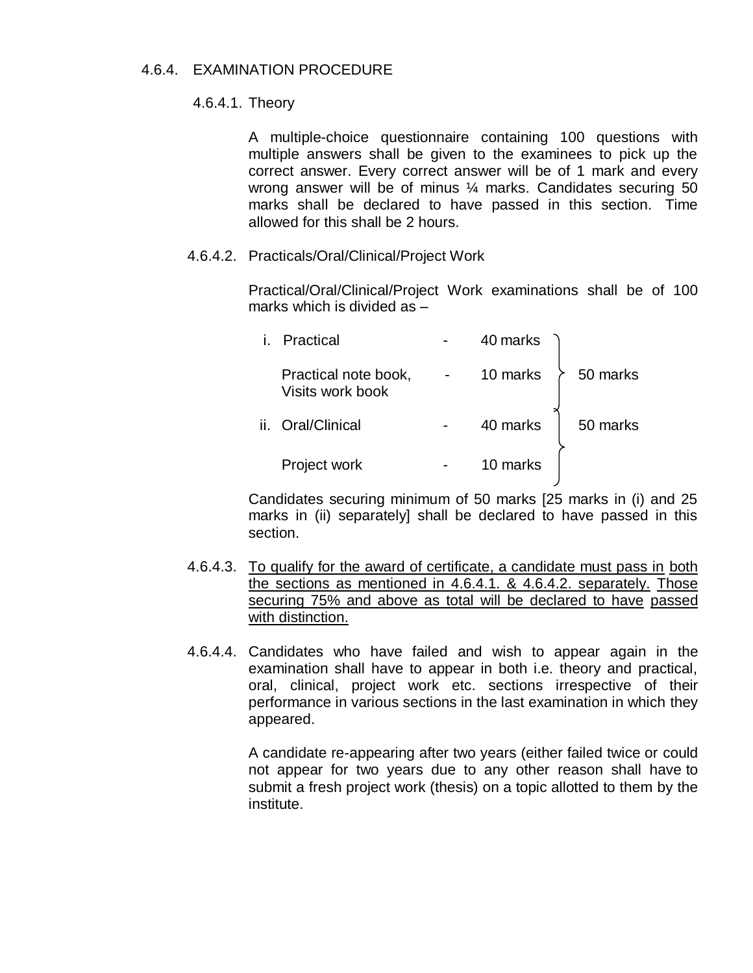# 4.6.4. EXAMINATION PROCEDURE

### 4.6.4.1. Theory

A multiple-choice questionnaire containing 100 questions with multiple answers shall be given to the examinees to pick up the correct answer. Every correct answer will be of 1 mark and every wrong answer will be of minus ¼ marks. Candidates securing 50 marks shall be declared to have passed in this section. Time allowed for this shall be 2 hours.

## 4.6.4.2. Practicals/Oral/Clinical/Project Work

Practical/Oral/Clinical/Project Work examinations shall be of 100 marks which is divided as –

| Practical                                | 40 marks |          |
|------------------------------------------|----------|----------|
| Practical note book,<br>Visits work book | 10 marks | 50 marks |
| ii. Oral/Clinical                        | 40 marks | 50 marks |
| Project work                             | 10 marks |          |
|                                          |          |          |

Candidates securing minimum of 50 marks [25 marks in (i) and 25 marks in (ii) separately] shall be declared to have passed in this section.

- 4.6.4.3. To qualify for the award of certificate, a candidate must pass in both the sections as mentioned in 4.6.4.1. & 4.6.4.2. separately. Those securing 75% and above as total will be declared to have passed with distinction.
- 4.6.4.4. Candidates who have failed and wish to appear again in the examination shall have to appear in both i.e. theory and practical, oral, clinical, project work etc. sections irrespective of their performance in various sections in the last examination in which they appeared.

A candidate re-appearing after two years (either failed twice or could not appear for two years due to any other reason shall have to submit a fresh project work (thesis) on a topic allotted to them by the institute.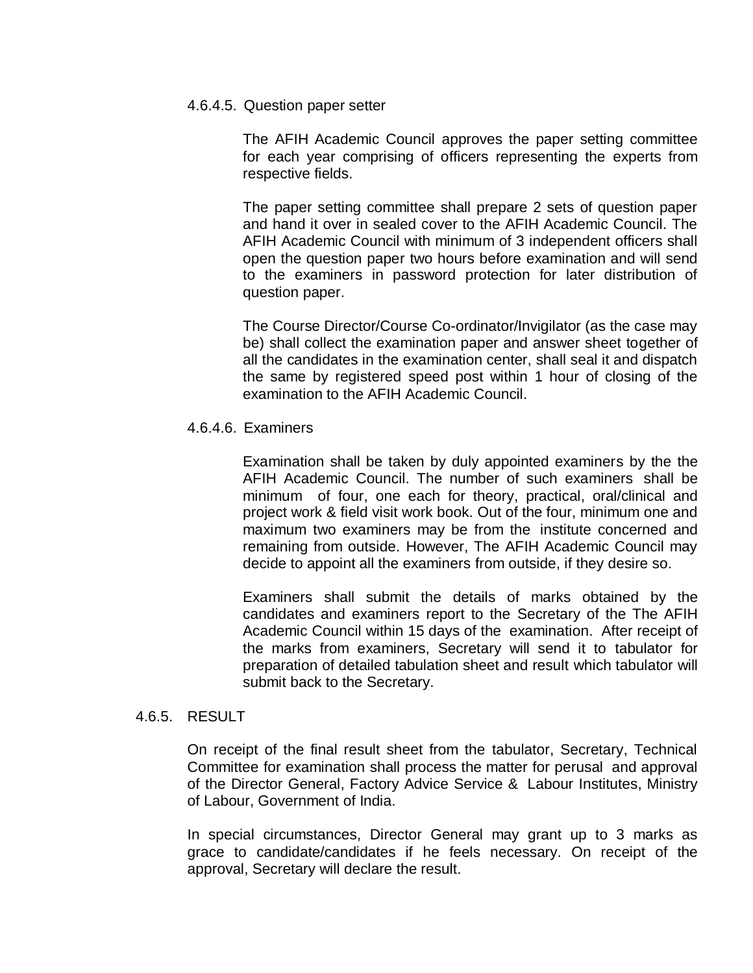#### 4.6.4.5. Question paper setter

The AFIH Academic Council approves the paper setting committee for each year comprising of officers representing the experts from respective fields.

The paper setting committee shall prepare 2 sets of question paper and hand it over in sealed cover to the AFIH Academic Council. The AFIH Academic Council with minimum of 3 independent officers shall open the question paper two hours before examination and will send to the examiners in password protection for later distribution of question paper.

The Course Director/Course Co-ordinator/Invigilator (as the case may be) shall collect the examination paper and answer sheet together of all the candidates in the examination center, shall seal it and dispatch the same by registered speed post within 1 hour of closing of the examination to the AFIH Academic Council.

# 4.6.4.6. Examiners

Examination shall be taken by duly appointed examiners by the the AFIH Academic Council. The number of such examiners shall be minimum of four, one each for theory, practical, oral/clinical and project work & field visit work book. Out of the four, minimum one and maximum two examiners may be from the institute concerned and remaining from outside. However, The AFIH Academic Council may decide to appoint all the examiners from outside, if they desire so.

Examiners shall submit the details of marks obtained by the candidates and examiners report to the Secretary of the The AFIH Academic Council within 15 days of the examination. After receipt of the marks from examiners, Secretary will send it to tabulator for preparation of detailed tabulation sheet and result which tabulator will submit back to the Secretary.

#### 4.6.5. RESULT

On receipt of the final result sheet from the tabulator, Secretary, Technical Committee for examination shall process the matter for perusal and approval of the Director General, Factory Advice Service & Labour Institutes, Ministry of Labour, Government of India.

In special circumstances, Director General may grant up to 3 marks as grace to candidate/candidates if he feels necessary. On receipt of the approval, Secretary will declare the result.